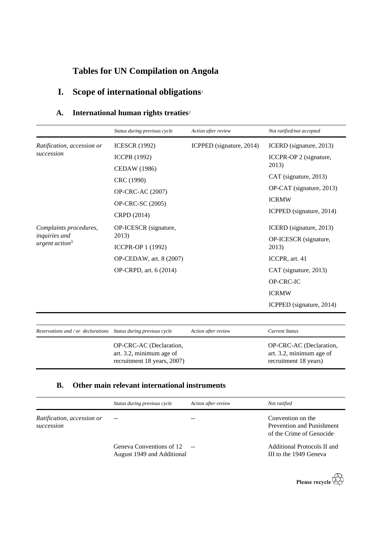# **Tables for UN Compilation on Angola**

# **I. Scope of international obligations**<sup>1</sup>

## **A. International human rights treaties**<sup>2</sup>

|                                                                       | Status during previous cycle | Action after review      | Not ratified/not accepted |
|-----------------------------------------------------------------------|------------------------------|--------------------------|---------------------------|
| Ratification, accession or                                            | <b>ICESCR</b> (1992)         | ICPPED (signature, 2014) | ICERD (signature, 2013)   |
| succession                                                            | <b>ICCPR (1992)</b>          |                          | ICCPR-OP 2 (signature,    |
|                                                                       | <b>CEDAW</b> (1986)          |                          | 2013)                     |
|                                                                       | CRC (1990)                   |                          | CAT (signature, 2013)     |
|                                                                       | OP-CRC-AC (2007)             |                          | OP-CAT (signature, 2013)  |
|                                                                       | OP-CRC-SC (2005)             |                          | <b>ICRMW</b>              |
|                                                                       | CRPD (2014)                  |                          | ICPPED (signature, 2014)  |
| Complaints procedures,<br>inquiries and<br>urgent action <sup>3</sup> | OP-ICESCR (signature,        |                          | ICERD (signature, 2013)   |
|                                                                       | 2013)                        |                          | OP-ICESCR (signature,     |
|                                                                       | ICCPR-OP 1 (1992)            |                          | 2013)                     |
|                                                                       | OP-CEDAW, art. 8 (2007)      |                          | ICCPR, art. 41            |
|                                                                       | OP-CRPD, art. 6 (2014)       |                          | CAT (signature, 2013)     |
|                                                                       |                              |                          | OP-CRC-IC                 |
|                                                                       |                              |                          | <b>ICRMW</b>              |
|                                                                       |                              |                          | ICPPED (signature, 2014)  |
|                                                                       |                              |                          |                           |

| Reservations and / or declarations Status during previous cycle |                                                                                    | Action after review | Current Status                                                               |
|-----------------------------------------------------------------|------------------------------------------------------------------------------------|---------------------|------------------------------------------------------------------------------|
|                                                                 | OP-CRC-AC (Declaration,<br>art. 3.2, minimum age of<br>recruitment 18 years, 2007) |                     | OP-CRC-AC (Declaration,<br>art. 3.2, minimum age of<br>recruitment 18 years) |

### **B. Other main relevant international instruments**

|                                                           | Status during previous cycle                           | Action after review | Not ratified                                                               |
|-----------------------------------------------------------|--------------------------------------------------------|---------------------|----------------------------------------------------------------------------|
| Ratification, accession or<br>$\sim$ $\sim$<br>succession |                                                        |                     | Convention on the<br>Prevention and Punishment<br>of the Crime of Genocide |
|                                                           | Geneva Conventions of 12<br>August 1949 and Additional |                     | Additional Protocols II and<br>III to the 1949 Geneva                      |

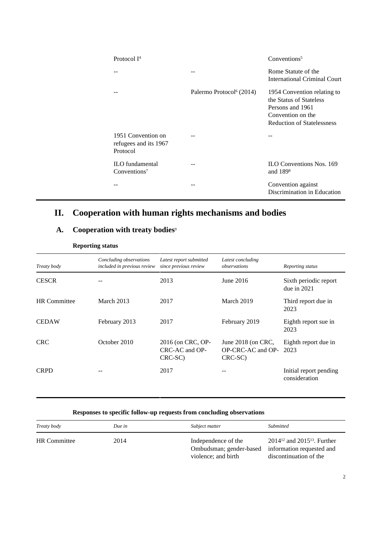| Protocol I <sup>4</sup>                                 |                                      | Conventions $5$                                                                                                                      |
|---------------------------------------------------------|--------------------------------------|--------------------------------------------------------------------------------------------------------------------------------------|
|                                                         |                                      | Rome Statute of the<br><b>International Criminal Court</b>                                                                           |
|                                                         | Palermo Protocol <sup>6</sup> (2014) | 1954 Convention relating to<br>the Status of Stateless<br>Persons and 1961<br>Convention on the<br><b>Reduction of Statelessness</b> |
| 1951 Convention on<br>refugees and its 1967<br>Protocol |                                      |                                                                                                                                      |
| ILO fundamental<br>Conventions <sup>7</sup>             |                                      | <b>ILO Conventions Nos. 169</b><br>and $1898$                                                                                        |
|                                                         |                                      | Convention against<br>Discrimination in Education                                                                                    |

## **II. Cooperation with human rights mechanisms and bodies**

## A. Cooperation with treaty bodies<sup>9</sup>

| Treaty body         | Concluding observations<br>included in previous review | Latest report submitted<br>since previous review | Latest concluding<br>observations                  | Reporting status                        |
|---------------------|--------------------------------------------------------|--------------------------------------------------|----------------------------------------------------|-----------------------------------------|
| <b>CESCR</b>        |                                                        | 2013                                             | June $2016$                                        | Sixth periodic report<br>due in $2021$  |
| <b>HR</b> Committee | March 2013                                             | 2017                                             | March 2019                                         | Third report due in<br>2023             |
| <b>CEDAW</b>        | February 2013                                          | 2017                                             | February 2019                                      | Eighth report sue in<br>2023            |
| <b>CRC</b>          | October 2010                                           | 2016 (on CRC, OP-<br>CRC-AC and OP-<br>CRC-SC)   | June 2018 (on CRC,<br>OP-CRC-AC and OP-<br>CRC-SC) | Eighth report due in<br>2023            |
| <b>CRPD</b>         |                                                        | 2017                                             |                                                    | Initial report pending<br>consideration |

### **Reporting status**

### **Responses to specific follow-up requests from concluding observations**

| Treaty body         | Due in | Subject matter                                 | <b>Submitted</b>                                                   |
|---------------------|--------|------------------------------------------------|--------------------------------------------------------------------|
| <b>HR</b> Committee | 2014   | Independence of the<br>Ombudsman; gender-based | $2014^{12}$ and $2015^{13}$ . Further<br>information requested and |
|                     |        | violence; and birth                            | discontinuation of the                                             |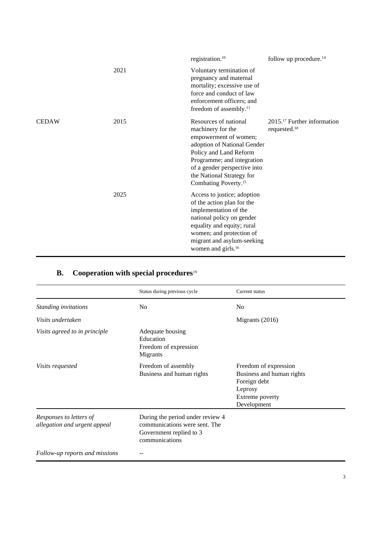|              |      | registration. <sup>10</sup>                                                                                                                                                                                                                                 | follow up procedure. $14$                                            |
|--------------|------|-------------------------------------------------------------------------------------------------------------------------------------------------------------------------------------------------------------------------------------------------------------|----------------------------------------------------------------------|
|              | 2021 | Voluntary termination of<br>pregnancy and maternal<br>mortality; excessive use of<br>force and conduct of law<br>enforcement officers; and<br>freedom of assembly. <sup>11</sup>                                                                            |                                                                      |
| <b>CEDAW</b> | 2015 | Resources of national<br>machinery for the<br>empowerment of women;<br>adoption of National Gender<br>Policy and Land Reform<br>Programme; and integration<br>of a gender perspective into<br>the National Strategy for<br>Combating Poverty. <sup>15</sup> | $2015$ <sup>17</sup> Further information<br>requested. <sup>18</sup> |
|              | 2025 | Access to justice; adoption<br>of the action plan for the<br>implementation of the<br>national policy on gender<br>equality and equity; rural<br>women; and protection of<br>migrant and asylum-seeking<br>women and girls. <sup>16</sup>                   |                                                                      |

|                                                         | Status during previous cycle                                                                                   | Current status                                                                                                  |
|---------------------------------------------------------|----------------------------------------------------------------------------------------------------------------|-----------------------------------------------------------------------------------------------------------------|
| Standing invitations                                    | N <sub>0</sub>                                                                                                 | No.                                                                                                             |
| Visits undertaken                                       |                                                                                                                | Migrants (2016)                                                                                                 |
| Visits agreed to in principle                           | Adequate housing<br>Education<br>Freedom of expression<br>Migrants                                             |                                                                                                                 |
| Visits requested                                        | Freedom of assembly<br>Business and human rights                                                               | Freedom of expression<br>Business and human rights<br>Foreign debt<br>Leprosy<br>Extreme poverty<br>Development |
| Responses to letters of<br>allegation and urgent appeal | During the period under review 4<br>communications were sent. The<br>Government replied to 3<br>communications |                                                                                                                 |
| Follow-up reports and missions                          |                                                                                                                |                                                                                                                 |

# **B. Cooperation with special procedures**<sup>19</sup>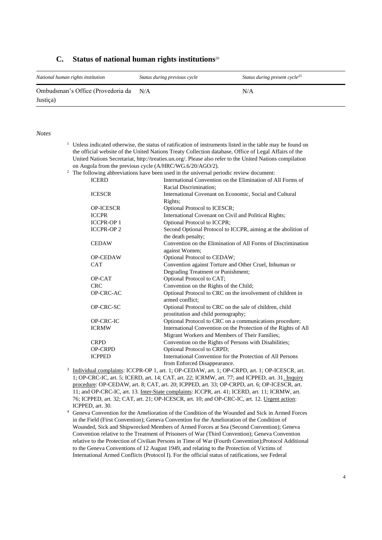### **C. Status of national human rights institutions**<sup>20</sup>

| National human rights institution     | Status during previous cycle | Status during present cycle <sup>21</sup> |
|---------------------------------------|------------------------------|-------------------------------------------|
| Ombudsman's Office (Provedoria da N/A |                              | N/A                                       |
| Justiça)                              |                              |                                           |

#### *Notes*

| $1$ Unless indicated otherwise, the status of ratification of instruments listed in the table may be found on |
|---------------------------------------------------------------------------------------------------------------|
| the official website of the United Nations Treaty Collection database, Office of Legal Affairs of the         |
| United Nations Secretariat, http://treaties.un.org/. Please also refer to the United Nations compilation      |
| on Angola from the previous cycle (A/HRC/WG.6/20/AGO/2).                                                      |

#### $2$  The following abbreviations have been used in the universal periodic review document:

| <b>ICERD</b>      | International Convention on the Elimination of All Forms of<br>Racial Discrimination; |
|-------------------|---------------------------------------------------------------------------------------|
| <b>ICESCR</b>     |                                                                                       |
|                   | International Covenant on Economic, Social and Cultural<br>Rights;                    |
|                   |                                                                                       |
| <b>OP-ICESCR</b>  | Optional Protocol to ICESCR;                                                          |
| <b>ICCPR</b>      | International Covenant on Civil and Political Rights;                                 |
| <b>ICCPR-OP1</b>  | Optional Protocol to ICCPR;                                                           |
| <b>ICCPR-OP 2</b> | Second Optional Protocol to ICCPR, aiming at the abolition of                         |
|                   | the death penalty;                                                                    |
| <b>CEDAW</b>      | Convention on the Elimination of All Forms of Discrimination<br>against Women;        |
| <b>OP-CEDAW</b>   | Optional Protocol to CEDAW;                                                           |
| <b>CAT</b>        | Convention against Torture and Other Cruel, Inhuman or                                |
|                   | Degrading Treatment or Punishment;                                                    |
| OP-CAT            | Optional Protocol to CAT;                                                             |
| <b>CRC</b>        | Convention on the Rights of the Child;                                                |
| OP-CRC-AC         | Optional Protocol to CRC on the involvement of children in                            |
|                   | armed conflict:                                                                       |
| OP-CRC-SC         | Optional Protocol to CRC on the sale of children, child                               |
|                   | prostitution and child pornography;                                                   |
| OP-CRC-IC         | Optional Protocol to CRC on a communications procedure;                               |
| <b>ICRMW</b>      | International Convention on the Protection of the Rights of All                       |
|                   | Migrant Workers and Members of Their Families;                                        |
| <b>CRPD</b>       | Convention on the Rights of Persons with Disabilities;                                |
| <b>OP-CRPD</b>    | Optional Protocol to CRPD;                                                            |
| <b>ICPPED</b>     | International Convention for the Protection of All Persons                            |
|                   | from Enforced Disappearance.                                                          |
|                   |                                                                                       |

- <sup>3</sup> Individual complaints: ICCPR-OP 1, art. 1; OP-CEDAW, art. 1; OP-CRPD, art. 1; OP-ICESCR, art. 1; OP-CRC-IC, art. 5; ICERD, art. 14; CAT, art. 22; ICRMW, art. 77; and ICPPED, art. 31. Inquiry procedure: OP-CEDAW, art. 8; CAT, art. 20; ICPPED, art. 33; OP-CRPD, art. 6; OP-ICESCR, art. 11; and OP-CRC-IC, art. 13. Inter-State complaints: ICCPR, art. 41; ICERD, art. 11; ICRMW, art. 76; ICPPED, art. 32; CAT, art. 21; OP-ICESCR, art. 10; and OP-CRC-IC, art. 12. Urgent action: ICPPED, art. 30.
- <sup>4</sup> Geneva Convention for the Amelioration of the Condition of the Wounded and Sick in Armed Forces in the Field (First Convention); Geneva Convention for the Amelioration of the Condition of Wounded, Sick and Shipwrecked Members of Armed Forces at Sea (Second Convention); Geneva Convention relative to the Treatment of Prisoners of War (Third Convention); Geneva Convention relative to the Protection of Civilian Persons in Time of War (Fourth Convention);Protocol Additional to the Geneva Conventions of 12 August 1949, and relating to the Protection of Victims of International Armed Conflicts (Protocol I). For the official status of ratifications, see Federal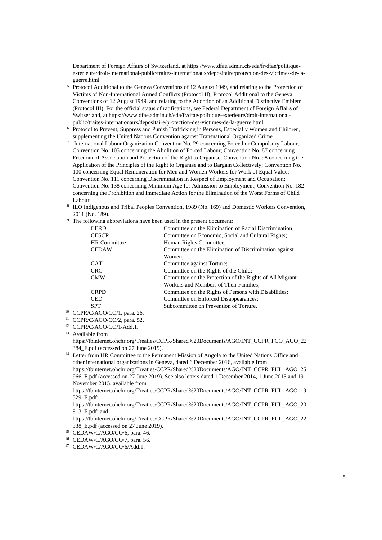Department of Foreign Affairs of Switzerland, at https://www.dfae.admin.ch/eda/fr/dfae/politiqueexterieure/droit-international-public/traites-internationaux/depositaire/protection-des-victimes-de-laguerre.html

- <sup>5</sup> Protocol Additional to the Geneva Conventions of 12 August 1949, and relating to the Protection of Victims of Non-International Armed Conflicts (Protocol II); Protocol Additional to the Geneva Conventions of 12 August 1949, and relating to the Adoption of an Additional Distinctive Emblem (Protocol III). For the official status of ratifications, see Federal Department of Foreign Affairs of Switzerland, at https://www.dfae.admin.ch/eda/fr/dfae/politique-exterieure/droit-internationalpublic/traites-internationaux/depositaire/protection-des-victimes-de-la-guerre.html
- <sup>6</sup> Protocol to Prevent, Suppress and Punish Trafficking in Persons, Especially Women and Children, supplementing the United Nations Convention against Transnational Organized Crime.
- <sup>7</sup> International Labour Organization Convention No. 29 concerning Forced or Compulsory Labour; Convention No. 105 concerning the Abolition of Forced Labour; Convention No. 87 concerning Freedom of Association and Protection of the Right to Organise; Convention No. 98 concerning the Application of the Principles of the Right to Organise and to Bargain Collectively; Convention No. 100 concerning Equal Remuneration for Men and Women Workers for Work of Equal Value; Convention No. 111 concerning Discrimination in Respect of Employment and Occupation; Convention No. 138 concerning Minimum Age for Admission to Employment; Convention No. 182 concerning the Prohibition and Immediate Action for the Elimination of the Worst Forms of Child Labour.
- 8 ILO Indigenous and Tribal Peoples Convention, 1989 (No. 169) and Domestic Workers Convention, 2011 (No. 189).
- <sup>9</sup> The following abbreviations have been used in the present document:

| <b>CERD</b>         | Committee on the Elimination of Racial Discrimination;   |
|---------------------|----------------------------------------------------------|
| <b>CESCR</b>        | Committee on Economic, Social and Cultural Rights;       |
| <b>HR</b> Committee | Human Rights Committee;                                  |
| <b>CEDAW</b>        | Committee on the Elimination of Discrimination against   |
|                     | Women:                                                   |
| <b>CAT</b>          | Committee against Torture;                               |
| <b>CRC</b>          | Committee on the Rights of the Child;                    |
| <b>CMW</b>          | Committee on the Protection of the Rights of All Migrant |
|                     | Workers and Members of Their Families:                   |
| <b>CRPD</b>         | Committee on the Rights of Persons with Disabilities;    |
| <b>CED</b>          | Committee on Enforced Disappearances;                    |
| <b>SPT</b>          | Subcommittee on Prevention of Torture.                   |
| D/G/A G Q/G Q       |                                                          |

<sup>10</sup> CCPR/C/AGO/CO/1, para. 26.

#### <sup>11</sup> CCPR/C/AGO/CO/2, para. 52.

- <sup>12</sup> CCPR/C/AGO/CO/1/Add.1.
- <sup>13</sup> Available from

[https://tbinternet.ohchr.org/Treaties/CCPR/Shared%20Documents/AGO/INT\\_CCPR\\_FCO\\_AGO\\_22](https://tbinternet.ohchr.org/Treaties/CCPR/Shared%20Documents/AGO/INT_CCPR_FCO_AGO_22384_F.pdf) [384\\_F.pdf](https://tbinternet.ohchr.org/Treaties/CCPR/Shared%20Documents/AGO/INT_CCPR_FCO_AGO_22384_F.pdf) (accessed on 27 June 2019).

<sup>14</sup> Letter from HR Committee to the Permanent Mission of Angola to the United Nations Office and other international organizations in Geneva, dated 6 December 2016, available from https://tbinternet.ohchr.org/Treaties/CCPR/Shared%20Documents/AGO/INT\_CCPR\_FUL\_AGO\_25 966\_E.pdf (accessed on 27 June 2019). See also letters dated 1 December 2014, 1 June 2015 and 19 November 2015, available from

[https://tbinternet.ohchr.org/Treaties/CCPR/Shared%20Documents/AGO/INT\\_CCPR\\_FUL\\_AGO\\_19](https://tbinternet.ohchr.org/Treaties/CCPR/Shared%20Documents/AGO/INT_CCPR_FUL_AGO_19329_E.pdf) [329\\_E.pdf;](https://tbinternet.ohchr.org/Treaties/CCPR/Shared%20Documents/AGO/INT_CCPR_FUL_AGO_19329_E.pdf)

[https://tbinternet.ohchr.org/Treaties/CCPR/Shared%20Documents/AGO/INT\\_CCPR\\_FUL\\_AGO\\_20](https://tbinternet.ohchr.org/Treaties/CCPR/Shared%20Documents/AGO/INT_CCPR_FUL_AGO_20913_E.pdf) [913\\_E.pdf;](https://tbinternet.ohchr.org/Treaties/CCPR/Shared%20Documents/AGO/INT_CCPR_FUL_AGO_20913_E.pdf) and

[https://tbinternet.ohchr.org/Treaties/CCPR/Shared%20Documents/AGO/INT\\_CCPR\\_FUL\\_AGO\\_22](https://tbinternet.ohchr.org/Treaties/CCPR/Shared%20Documents/AGO/INT_CCPR_FUL_AGO_22338_E.pdf) [338\\_E.pdf](https://tbinternet.ohchr.org/Treaties/CCPR/Shared%20Documents/AGO/INT_CCPR_FUL_AGO_22338_E.pdf) (accessed on 27 June 2019).

<sup>15</sup> CEDAW/C/AGO/CO/6, para. 46.

<sup>16</sup> CEDAW/C/AGO/CO/7, para. 56.

<sup>17</sup> CEDAW/C/AGO/CO/6/Add.1.